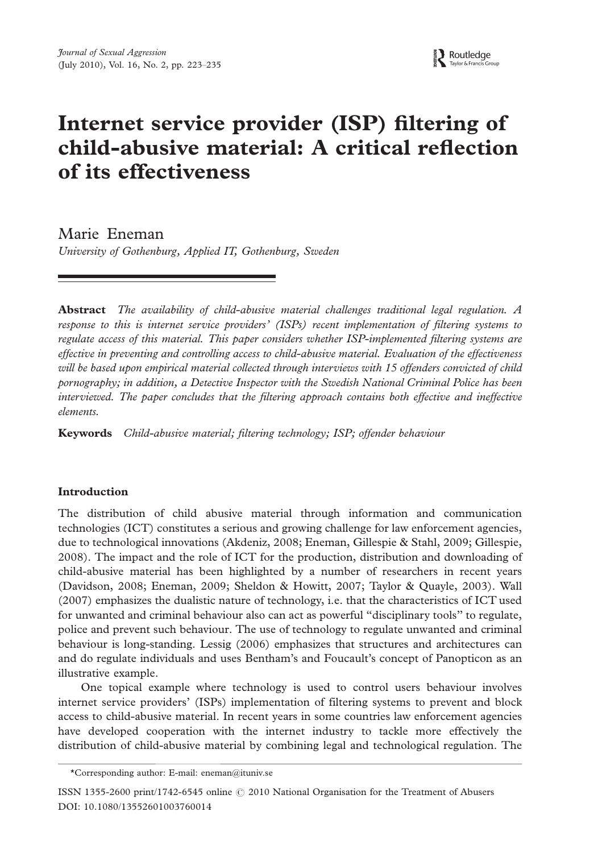# Internet service provider (ISP) filtering of child-abusive material: A critical reflection of its effectiveness

Marie Eneman

University of Gothenburg, Applied IT, Gothenburg, Sweden

Abstract The availability of child-abusive material challenges traditional legal regulation. A response to this is internet service providers' (ISPs) recent implementation of filtering systems to regulate access of this material. This paper considers whether ISP-implemented filtering systems are effective in preventing and controlling access to child-abusive material. Evaluation of the effectiveness will be based upon empirical material collected through interviews with 15 offenders convicted of child pornography; in addition, a Detective Inspector with the Swedish National Criminal Police has been interviewed. The paper concludes that the filtering approach contains both effective and ineffective elements.

Keywords Child-abusive material; filtering technology; ISP; offender behaviour

# Introduction

The distribution of child abusive material through information and communication technologies (ICT) constitutes a serious and growing challenge for law enforcement agencies, due to technological innovations (Akdeniz, 2008; Eneman, Gillespie & Stahl, 2009; Gillespie, 2008). The impact and the role of ICT for the production, distribution and downloading of child-abusive material has been highlighted by a number of researchers in recent years (Davidson, 2008; Eneman, 2009; Sheldon & Howitt, 2007; Taylor & Quayle, 2003). Wall (2007) emphasizes the dualistic nature of technology, i.e. that the characteristics of ICT used for unwanted and criminal behaviour also can act as powerful ''disciplinary tools'' to regulate, police and prevent such behaviour. The use of technology to regulate unwanted and criminal behaviour is long-standing. Lessig (2006) emphasizes that structures and architectures can and do regulate individuals and uses Bentham's and Foucault's concept of Panopticon as an illustrative example.

One topical example where technology is used to control users behaviour involves internet service providers' (ISPs) implementation of filtering systems to prevent and block access to child-abusive material. In recent years in some countries law enforcement agencies have developed cooperation with the internet industry to tackle more effectively the distribution of child-abusive material by combining legal and technological regulation. The

<sup>\*</sup>Corresponding author: E-mail: eneman@ituniv.se

ISSN 1355-2600 print/1742-6545 online  $\odot$  2010 National Organisation for the Treatment of Abusers DOI: 10.1080/13552601003760014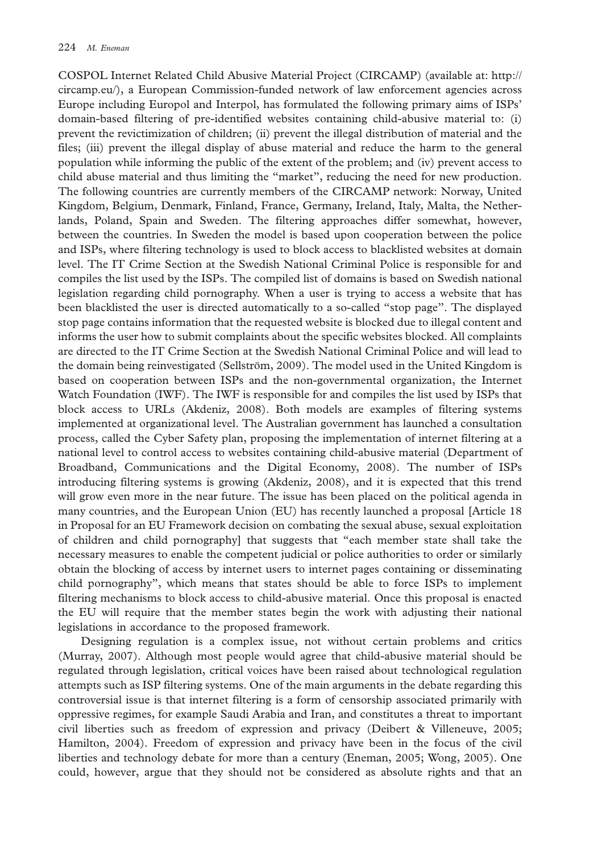#### 224 M. Eneman

COSPOL Internet Related Child Abusive Material Project (CIRCAMP) (available at: http:// circamp.eu/), a European Commission-funded network of law enforcement agencies across Europe including Europol and Interpol, has formulated the following primary aims of ISPs' domain-based filtering of pre-identified websites containing child-abusive material to: (i) prevent the revictimization of children; (ii) prevent the illegal distribution of material and the files; (iii) prevent the illegal display of abuse material and reduce the harm to the general population while informing the public of the extent of the problem; and (iv) prevent access to child abuse material and thus limiting the ''market'', reducing the need for new production. The following countries are currently members of the CIRCAMP network: Norway, United Kingdom, Belgium, Denmark, Finland, France, Germany, Ireland, Italy, Malta, the Netherlands, Poland, Spain and Sweden. The filtering approaches differ somewhat, however, between the countries. In Sweden the model is based upon cooperation between the police and ISPs, where filtering technology is used to block access to blacklisted websites at domain level. The IT Crime Section at the Swedish National Criminal Police is responsible for and compiles the list used by the ISPs. The compiled list of domains is based on Swedish national legislation regarding child pornography. When a user is trying to access a website that has been blacklisted the user is directed automatically to a so-called ''stop page''. The displayed stop page contains information that the requested website is blocked due to illegal content and informs the user how to submit complaints about the specific websites blocked. All complaints are directed to the IT Crime Section at the Swedish National Criminal Police and will lead to the domain being reinvestigated (Sellström, 2009). The model used in the United Kingdom is based on cooperation between ISPs and the non-governmental organization, the Internet Watch Foundation (IWF). The IWF is responsible for and compiles the list used by ISPs that block access to URLs (Akdeniz, 2008). Both models are examples of filtering systems implemented at organizational level. The Australian government has launched a consultation process, called the Cyber Safety plan, proposing the implementation of internet filtering at a national level to control access to websites containing child-abusive material (Department of Broadband, Communications and the Digital Economy, 2008). The number of ISPs introducing filtering systems is growing (Akdeniz, 2008), and it is expected that this trend will grow even more in the near future. The issue has been placed on the political agenda in many countries, and the European Union (EU) has recently launched a proposal [Article 18 in Proposal for an EU Framework decision on combating the sexual abuse, sexual exploitation of children and child pornography] that suggests that ''each member state shall take the necessary measures to enable the competent judicial or police authorities to order or similarly obtain the blocking of access by internet users to internet pages containing or disseminating child pornography'', which means that states should be able to force ISPs to implement filtering mechanisms to block access to child-abusive material. Once this proposal is enacted the EU will require that the member states begin the work with adjusting their national legislations in accordance to the proposed framework.

Designing regulation is a complex issue, not without certain problems and critics (Murray, 2007). Although most people would agree that child-abusive material should be regulated through legislation, critical voices have been raised about technological regulation attempts such as ISP filtering systems. One of the main arguments in the debate regarding this controversial issue is that internet filtering is a form of censorship associated primarily with oppressive regimes, for example Saudi Arabia and Iran, and constitutes a threat to important civil liberties such as freedom of expression and privacy (Deibert & Villeneuve, 2005; Hamilton, 2004). Freedom of expression and privacy have been in the focus of the civil liberties and technology debate for more than a century (Eneman, 2005; Wong, 2005). One could, however, argue that they should not be considered as absolute rights and that an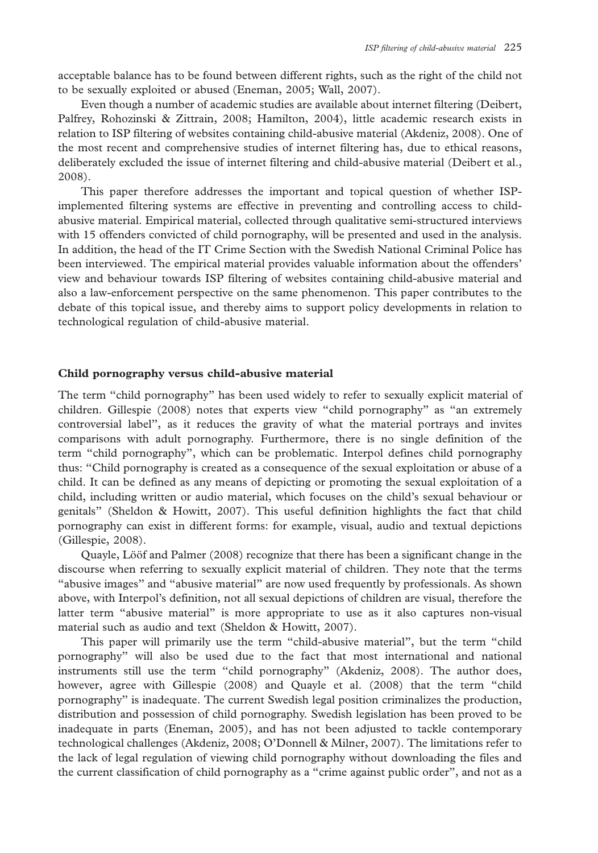acceptable balance has to be found between different rights, such as the right of the child not to be sexually exploited or abused (Eneman, 2005; Wall, 2007).

Even though a number of academic studies are available about internet filtering (Deibert, Palfrey, Rohozinski & Zittrain, 2008; Hamilton, 2004), little academic research exists in relation to ISP filtering of websites containing child-abusive material (Akdeniz, 2008). One of the most recent and comprehensive studies of internet filtering has, due to ethical reasons, deliberately excluded the issue of internet filtering and child-abusive material (Deibert et al., 2008).

This paper therefore addresses the important and topical question of whether ISPimplemented filtering systems are effective in preventing and controlling access to childabusive material. Empirical material, collected through qualitative semi-structured interviews with 15 offenders convicted of child pornography, will be presented and used in the analysis. In addition, the head of the IT Crime Section with the Swedish National Criminal Police has been interviewed. The empirical material provides valuable information about the offenders' view and behaviour towards ISP filtering of websites containing child-abusive material and also a law-enforcement perspective on the same phenomenon. This paper contributes to the debate of this topical issue, and thereby aims to support policy developments in relation to technological regulation of child-abusive material.

#### Child pornography versus child-abusive material

The term "child pornography" has been used widely to refer to sexually explicit material of children. Gillespie (2008) notes that experts view ''child pornography'' as ''an extremely controversial label'', as it reduces the gravity of what the material portrays and invites comparisons with adult pornography. Furthermore, there is no single definition of the term ''child pornography'', which can be problematic. Interpol defines child pornography thus: ''Child pornography is created as a consequence of the sexual exploitation or abuse of a child. It can be defined as any means of depicting or promoting the sexual exploitation of a child, including written or audio material, which focuses on the child's sexual behaviour or genitals'' (Sheldon & Howitt, 2007). This useful definition highlights the fact that child pornography can exist in different forms: for example, visual, audio and textual depictions (Gillespie, 2008).

Quayle, Lööf and Palmer (2008) recognize that there has been a significant change in the discourse when referring to sexually explicit material of children. They note that the terms ''abusive images'' and ''abusive material'' are now used frequently by professionals. As shown above, with Interpol's definition, not all sexual depictions of children are visual, therefore the latter term "abusive material" is more appropriate to use as it also captures non-visual material such as audio and text (Sheldon & Howitt, 2007).

This paper will primarily use the term ''child-abusive material'', but the term ''child pornography'' will also be used due to the fact that most international and national instruments still use the term ''child pornography'' (Akdeniz, 2008). The author does, however, agree with Gillespie (2008) and Quayle et al. (2008) that the term ''child pornography'' is inadequate. The current Swedish legal position criminalizes the production, distribution and possession of child pornography. Swedish legislation has been proved to be inadequate in parts (Eneman, 2005), and has not been adjusted to tackle contemporary technological challenges (Akdeniz, 2008; O'Donnell & Milner, 2007). The limitations refer to the lack of legal regulation of viewing child pornography without downloading the files and the current classification of child pornography as a ''crime against public order'', and not as a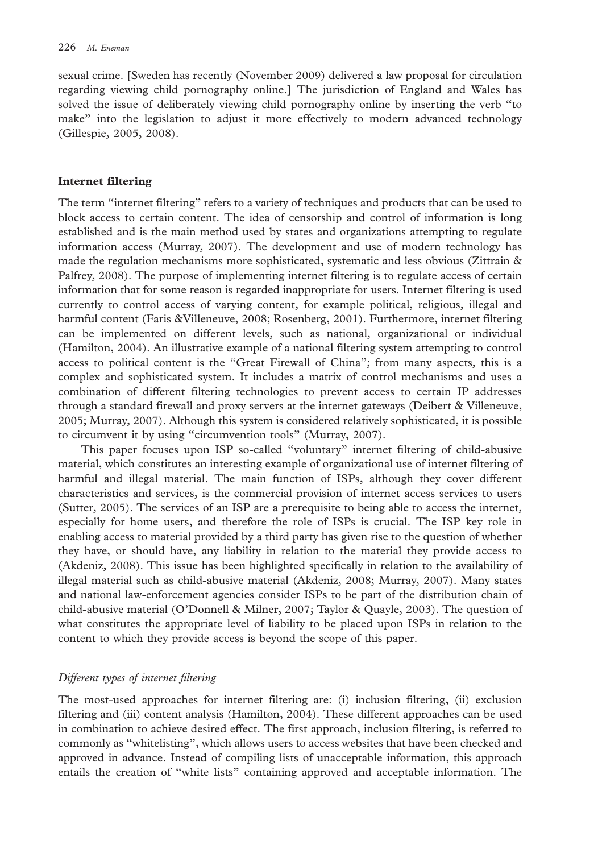sexual crime. [Sweden has recently (November 2009) delivered a law proposal for circulation regarding viewing child pornography online.] The jurisdiction of England and Wales has solved the issue of deliberately viewing child pornography online by inserting the verb ''to make'' into the legislation to adjust it more effectively to modern advanced technology (Gillespie, 2005, 2008).

### Internet filtering

The term ''internet filtering'' refers to a variety of techniques and products that can be used to block access to certain content. The idea of censorship and control of information is long established and is the main method used by states and organizations attempting to regulate information access (Murray, 2007). The development and use of modern technology has made the regulation mechanisms more sophisticated, systematic and less obvious (Zittrain & Palfrey, 2008). The purpose of implementing internet filtering is to regulate access of certain information that for some reason is regarded inappropriate for users. Internet filtering is used currently to control access of varying content, for example political, religious, illegal and harmful content (Faris &Villeneuve, 2008; Rosenberg, 2001). Furthermore, internet filtering can be implemented on different levels, such as national, organizational or individual (Hamilton, 2004). An illustrative example of a national filtering system attempting to control access to political content is the ''Great Firewall of China''; from many aspects, this is a complex and sophisticated system. It includes a matrix of control mechanisms and uses a combination of different filtering technologies to prevent access to certain IP addresses through a standard firewall and proxy servers at the internet gateways (Deibert & Villeneuve, 2005; Murray, 2007). Although this system is considered relatively sophisticated, it is possible to circumvent it by using ''circumvention tools'' (Murray, 2007).

This paper focuses upon ISP so-called ''voluntary'' internet filtering of child-abusive material, which constitutes an interesting example of organizational use of internet filtering of harmful and illegal material. The main function of ISPs, although they cover different characteristics and services, is the commercial provision of internet access services to users (Sutter, 2005). The services of an ISP are a prerequisite to being able to access the internet, especially for home users, and therefore the role of ISPs is crucial. The ISP key role in enabling access to material provided by a third party has given rise to the question of whether they have, or should have, any liability in relation to the material they provide access to (Akdeniz, 2008). This issue has been highlighted specifically in relation to the availability of illegal material such as child-abusive material (Akdeniz, 2008; Murray, 2007). Many states and national law-enforcement agencies consider ISPs to be part of the distribution chain of child-abusive material (O'Donnell & Milner, 2007; Taylor & Quayle, 2003). The question of what constitutes the appropriate level of liability to be placed upon ISPs in relation to the content to which they provide access is beyond the scope of this paper.

## Different types of internet filtering

The most-used approaches for internet filtering are: (i) inclusion filtering, (ii) exclusion filtering and (iii) content analysis (Hamilton, 2004). These different approaches can be used in combination to achieve desired effect. The first approach, inclusion filtering, is referred to commonly as ''whitelisting'', which allows users to access websites that have been checked and approved in advance. Instead of compiling lists of unacceptable information, this approach entails the creation of ''white lists'' containing approved and acceptable information. The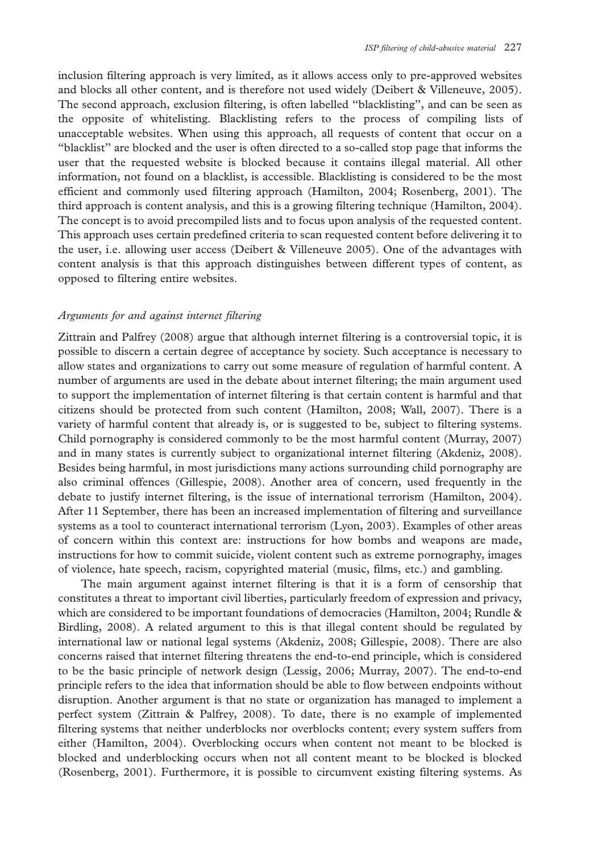inclusion filtering approach is very limited, as it allows access only to pre-approved websites and blocks all other content, and is therefore not used widely (Deibert & Villeneuve, 2005). The second approach, exclusion filtering, is often labelled ''blacklisting'', and can be seen as the opposite of whitelisting. Blacklisting refers to the process of compiling lists of unacceptable websites. When using this approach, all requests of content that occur on a ''blacklist'' are blocked and the user is often directed to a so-called stop page that informs the user that the requested website is blocked because it contains illegal material. All other information, not found on a blacklist, is accessible. Blacklisting is considered to be the most efficient and commonly used filtering approach (Hamilton, 2004; Rosenberg, 2001). The third approach is content analysis, and this is a growing filtering technique (Hamilton, 2004). The concept is to avoid precompiled lists and to focus upon analysis of the requested content. This approach uses certain predefined criteria to scan requested content before delivering it to the user, i.e. allowing user access (Deibert & Villeneuve 2005). One of the advantages with content analysis is that this approach distinguishes between different types of content, as opposed to filtering entire websites.

#### Arguments for and against internet filtering

Zittrain and Palfrey (2008) argue that although internet filtering is a controversial topic, it is possible to discern a certain degree of acceptance by society. Such acceptance is necessary to allow states and organizations to carry out some measure of regulation of harmful content. A number of arguments are used in the debate about internet filtering; the main argument used to support the implementation of internet filtering is that certain content is harmful and that citizens should be protected from such content (Hamilton, 2008; Wall, 2007). There is a variety of harmful content that already is, or is suggested to be, subject to filtering systems. Child pornography is considered commonly to be the most harmful content (Murray, 2007) and in many states is currently subject to organizational internet filtering (Akdeniz, 2008). Besides being harmful, in most jurisdictions many actions surrounding child pornography are also criminal offences (Gillespie, 2008). Another area of concern, used frequently in the debate to justify internet filtering, is the issue of international terrorism (Hamilton, 2004). After 11 September, there has been an increased implementation of filtering and surveillance systems as a tool to counteract international terrorism (Lyon, 2003). Examples of other areas of concern within this context are: instructions for how bombs and weapons are made, instructions for how to commit suicide, violent content such as extreme pornography, images of violence, hate speech, racism, copyrighted material (music, films, etc.) and gambling.

The main argument against internet filtering is that it is a form of censorship that constitutes a threat to important civil liberties, particularly freedom of expression and privacy, which are considered to be important foundations of democracies (Hamilton, 2004; Rundle & Birdling, 2008). A related argument to this is that illegal content should be regulated by international law or national legal systems (Akdeniz, 2008; Gillespie, 2008). There are also concerns raised that internet filtering threatens the end-to-end principle, which is considered to be the basic principle of network design (Lessig, 2006; Murray, 2007). The end-to-end principle refers to the idea that information should be able to flow between endpoints without disruption. Another argument is that no state or organization has managed to implement a perfect system (Zittrain & Palfrey, 2008). To date, there is no example of implemented filtering systems that neither underblocks nor overblocks content; every system suffers from either (Hamilton, 2004). Overblocking occurs when content not meant to be blocked is blocked and underblocking occurs when not all content meant to be blocked is blocked (Rosenberg, 2001). Furthermore, it is possible to circumvent existing filtering systems. As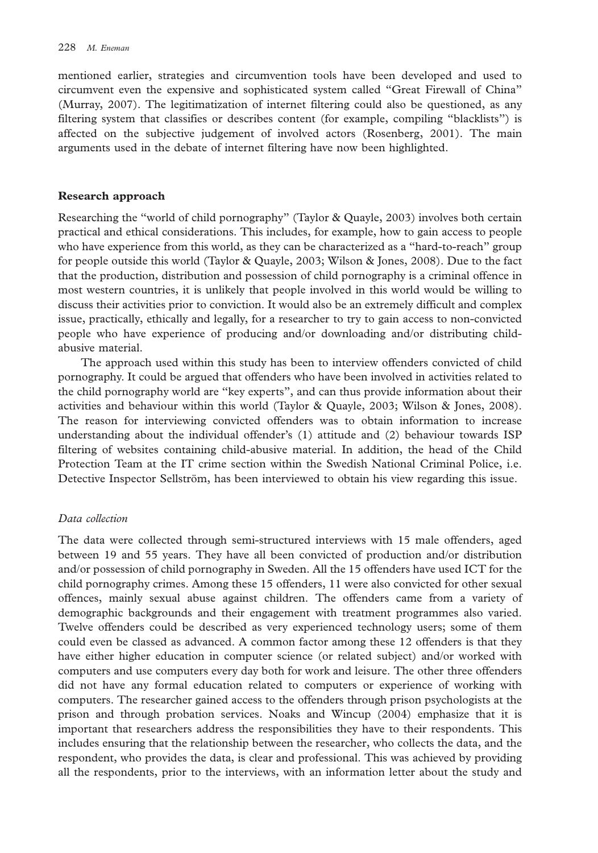mentioned earlier, strategies and circumvention tools have been developed and used to circumvent even the expensive and sophisticated system called ''Great Firewall of China'' (Murray, 2007). The legitimatization of internet filtering could also be questioned, as any filtering system that classifies or describes content (for example, compiling ''blacklists'') is affected on the subjective judgement of involved actors (Rosenberg, 2001). The main arguments used in the debate of internet filtering have now been highlighted.

## Research approach

Researching the ''world of child pornography'' (Taylor & Quayle, 2003) involves both certain practical and ethical considerations. This includes, for example, how to gain access to people who have experience from this world, as they can be characterized as a ''hard-to-reach'' group for people outside this world (Taylor & Quayle, 2003; Wilson & Jones, 2008). Due to the fact that the production, distribution and possession of child pornography is a criminal offence in most western countries, it is unlikely that people involved in this world would be willing to discuss their activities prior to conviction. It would also be an extremely difficult and complex issue, practically, ethically and legally, for a researcher to try to gain access to non-convicted people who have experience of producing and/or downloading and/or distributing childabusive material.

The approach used within this study has been to interview offenders convicted of child pornography. It could be argued that offenders who have been involved in activities related to the child pornography world are ''key experts'', and can thus provide information about their activities and behaviour within this world (Taylor & Quayle, 2003; Wilson & Jones, 2008). The reason for interviewing convicted offenders was to obtain information to increase understanding about the individual offender's (1) attitude and (2) behaviour towards ISP filtering of websites containing child-abusive material. In addition, the head of the Child Protection Team at the IT crime section within the Swedish National Criminal Police, i.e. Detective Inspector Sellström, has been interviewed to obtain his view regarding this issue.

## Data collection

The data were collected through semi-structured interviews with 15 male offenders, aged between 19 and 55 years. They have all been convicted of production and/or distribution and/or possession of child pornography in Sweden. All the 15 offenders have used ICT for the child pornography crimes. Among these 15 offenders, 11 were also convicted for other sexual offences, mainly sexual abuse against children. The offenders came from a variety of demographic backgrounds and their engagement with treatment programmes also varied. Twelve offenders could be described as very experienced technology users; some of them could even be classed as advanced. A common factor among these 12 offenders is that they have either higher education in computer science (or related subject) and/or worked with computers and use computers every day both for work and leisure. The other three offenders did not have any formal education related to computers or experience of working with computers. The researcher gained access to the offenders through prison psychologists at the prison and through probation services. Noaks and Wincup (2004) emphasize that it is important that researchers address the responsibilities they have to their respondents. This includes ensuring that the relationship between the researcher, who collects the data, and the respondent, who provides the data, is clear and professional. This was achieved by providing all the respondents, prior to the interviews, with an information letter about the study and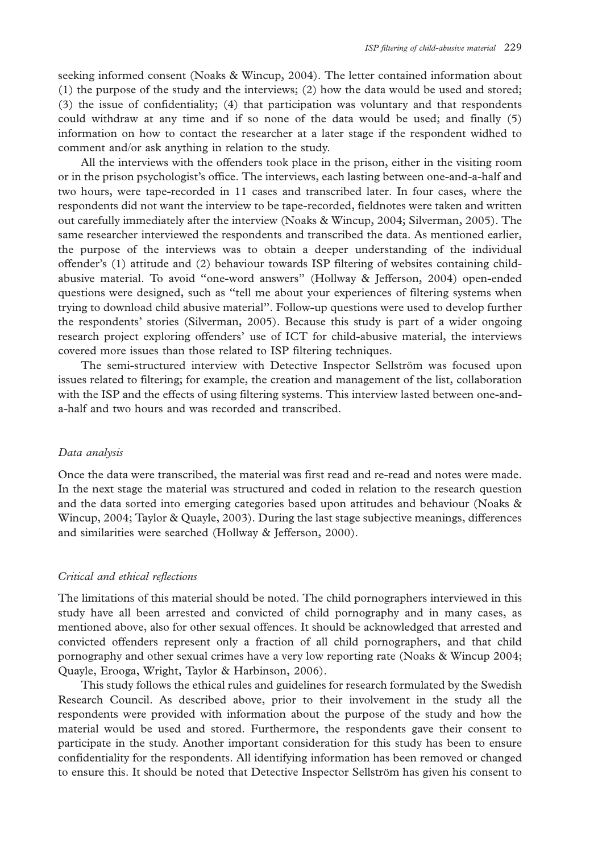seeking informed consent (Noaks & Wincup, 2004). The letter contained information about (1) the purpose of the study and the interviews; (2) how the data would be used and stored; (3) the issue of confidentiality; (4) that participation was voluntary and that respondents could withdraw at any time and if so none of the data would be used; and finally (5) information on how to contact the researcher at a later stage if the respondent widhed to comment and/or ask anything in relation to the study.

All the interviews with the offenders took place in the prison, either in the visiting room or in the prison psychologist's office. The interviews, each lasting between one-and-a-half and two hours, were tape-recorded in 11 cases and transcribed later. In four cases, where the respondents did not want the interview to be tape-recorded, fieldnotes were taken and written out carefully immediately after the interview (Noaks & Wincup, 2004; Silverman, 2005). The same researcher interviewed the respondents and transcribed the data. As mentioned earlier, the purpose of the interviews was to obtain a deeper understanding of the individual offender's (1) attitude and (2) behaviour towards ISP filtering of websites containing childabusive material. To avoid ''one-word answers'' (Hollway & Jefferson, 2004) open-ended questions were designed, such as ''tell me about your experiences of filtering systems when trying to download child abusive material''. Follow-up questions were used to develop further the respondents' stories (Silverman, 2005). Because this study is part of a wider ongoing research project exploring offenders' use of ICT for child-abusive material, the interviews covered more issues than those related to ISP filtering techniques.

The semi-structured interview with Detective Inspector Sellström was focused upon issues related to filtering; for example, the creation and management of the list, collaboration with the ISP and the effects of using filtering systems. This interview lasted between one-anda-half and two hours and was recorded and transcribed.

#### Data analysis

Once the data were transcribed, the material was first read and re-read and notes were made. In the next stage the material was structured and coded in relation to the research question and the data sorted into emerging categories based upon attitudes and behaviour (Noaks & Wincup, 2004; Taylor & Quayle, 2003). During the last stage subjective meanings, differences and similarities were searched (Hollway & Jefferson, 2000).

#### Critical and ethical reflections

The limitations of this material should be noted. The child pornographers interviewed in this study have all been arrested and convicted of child pornography and in many cases, as mentioned above, also for other sexual offences. It should be acknowledged that arrested and convicted offenders represent only a fraction of all child pornographers, and that child pornography and other sexual crimes have a very low reporting rate (Noaks & Wincup 2004; Quayle, Erooga, Wright, Taylor & Harbinson, 2006).

This study follows the ethical rules and guidelines for research formulated by the Swedish Research Council. As described above, prior to their involvement in the study all the respondents were provided with information about the purpose of the study and how the material would be used and stored. Furthermore, the respondents gave their consent to participate in the study. Another important consideration for this study has been to ensure confidentiality for the respondents. All identifying information has been removed or changed to ensure this. It should be noted that Detective Inspector Sellström has given his consent to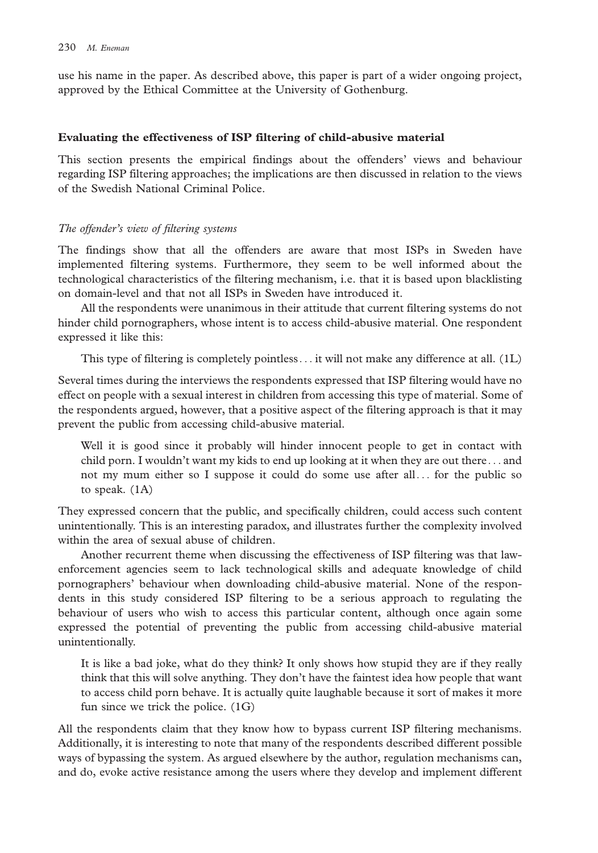use his name in the paper. As described above, this paper is part of a wider ongoing project, approved by the Ethical Committee at the University of Gothenburg.

# Evaluating the effectiveness of ISP filtering of child-abusive material

This section presents the empirical findings about the offenders' views and behaviour regarding ISP filtering approaches; the implications are then discussed in relation to the views of the Swedish National Criminal Police.

## The offender's view of filtering systems

The findings show that all the offenders are aware that most ISPs in Sweden have implemented filtering systems. Furthermore, they seem to be well informed about the technological characteristics of the filtering mechanism, i.e. that it is based upon blacklisting on domain-level and that not all ISPs in Sweden have introduced it.

All the respondents were unanimous in their attitude that current filtering systems do not hinder child pornographers, whose intent is to access child-abusive material. One respondent expressed it like this:

This type of filtering is completely pointless... it will not make any difference at all. (1L)

Several times during the interviews the respondents expressed that ISP filtering would have no effect on people with a sexual interest in children from accessing this type of material. Some of the respondents argued, however, that a positive aspect of the filtering approach is that it may prevent the public from accessing child-abusive material.

Well it is good since it probably will hinder innocent people to get in contact with child porn. I wouldn't want my kids to end up looking at it when they are out there... and not my mum either so I suppose it could do some use after all... for the public so to speak. (1A)

They expressed concern that the public, and specifically children, could access such content unintentionally. This is an interesting paradox, and illustrates further the complexity involved within the area of sexual abuse of children.

Another recurrent theme when discussing the effectiveness of ISP filtering was that lawenforcement agencies seem to lack technological skills and adequate knowledge of child pornographers' behaviour when downloading child-abusive material. None of the respondents in this study considered ISP filtering to be a serious approach to regulating the behaviour of users who wish to access this particular content, although once again some expressed the potential of preventing the public from accessing child-abusive material unintentionally.

It is like a bad joke, what do they think? It only shows how stupid they are if they really think that this will solve anything. They don't have the faintest idea how people that want to access child porn behave. It is actually quite laughable because it sort of makes it more fun since we trick the police. (1G)

All the respondents claim that they know how to bypass current ISP filtering mechanisms. Additionally, it is interesting to note that many of the respondents described different possible ways of bypassing the system. As argued elsewhere by the author, regulation mechanisms can, and do, evoke active resistance among the users where they develop and implement different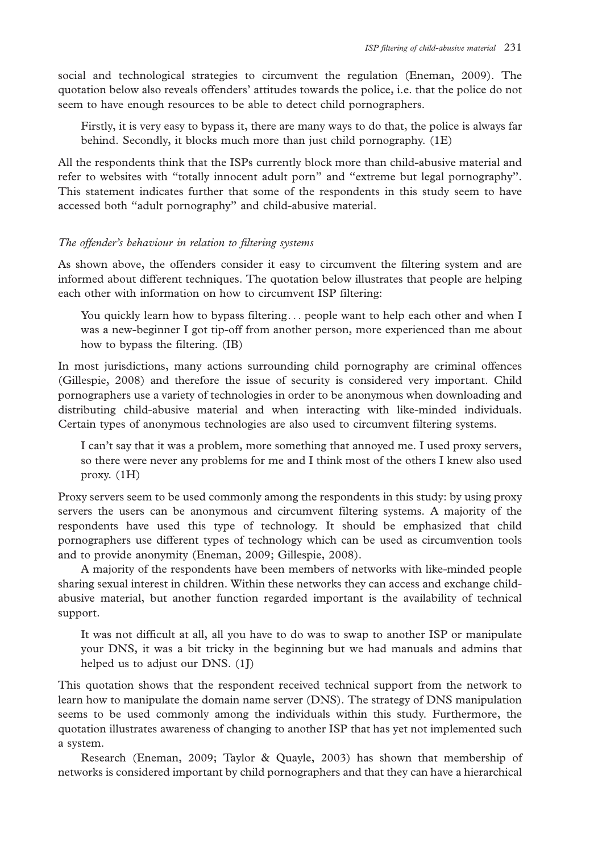social and technological strategies to circumvent the regulation (Eneman, 2009). The quotation below also reveals offenders' attitudes towards the police, i.e. that the police do not seem to have enough resources to be able to detect child pornographers.

Firstly, it is very easy to bypass it, there are many ways to do that, the police is always far behind. Secondly, it blocks much more than just child pornography. (1E)

All the respondents think that the ISPs currently block more than child-abusive material and refer to websites with ''totally innocent adult porn'' and ''extreme but legal pornography''. This statement indicates further that some of the respondents in this study seem to have accessed both ''adult pornography'' and child-abusive material.

## The offender's behaviour in relation to filtering systems

As shown above, the offenders consider it easy to circumvent the filtering system and are informed about different techniques. The quotation below illustrates that people are helping each other with information on how to circumvent ISP filtering:

You quickly learn how to bypass filtering... people want to help each other and when I was a new-beginner I got tip-off from another person, more experienced than me about how to bypass the filtering. (IB)

In most jurisdictions, many actions surrounding child pornography are criminal offences (Gillespie, 2008) and therefore the issue of security is considered very important. Child pornographers use a variety of technologies in order to be anonymous when downloading and distributing child-abusive material and when interacting with like-minded individuals. Certain types of anonymous technologies are also used to circumvent filtering systems.

I can't say that it was a problem, more something that annoyed me. I used proxy servers, so there were never any problems for me and I think most of the others I knew also used proxy. (1H)

Proxy servers seem to be used commonly among the respondents in this study: by using proxy servers the users can be anonymous and circumvent filtering systems. A majority of the respondents have used this type of technology. It should be emphasized that child pornographers use different types of technology which can be used as circumvention tools and to provide anonymity (Eneman, 2009; Gillespie, 2008).

A majority of the respondents have been members of networks with like-minded people sharing sexual interest in children. Within these networks they can access and exchange childabusive material, but another function regarded important is the availability of technical support.

It was not difficult at all, all you have to do was to swap to another ISP or manipulate your DNS, it was a bit tricky in the beginning but we had manuals and admins that helped us to adjust our DNS. (1J)

This quotation shows that the respondent received technical support from the network to learn how to manipulate the domain name server (DNS). The strategy of DNS manipulation seems to be used commonly among the individuals within this study. Furthermore, the quotation illustrates awareness of changing to another ISP that has yet not implemented such a system.

Research (Eneman, 2009; Taylor & Quayle, 2003) has shown that membership of networks is considered important by child pornographers and that they can have a hierarchical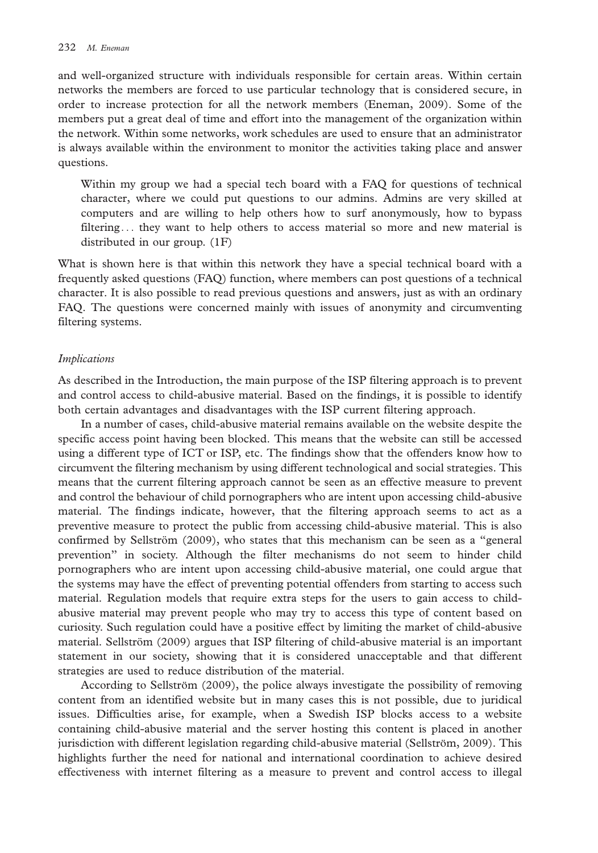and well-organized structure with individuals responsible for certain areas. Within certain networks the members are forced to use particular technology that is considered secure, in order to increase protection for all the network members (Eneman, 2009). Some of the members put a great deal of time and effort into the management of the organization within the network. Within some networks, work schedules are used to ensure that an administrator is always available within the environment to monitor the activities taking place and answer questions.

Within my group we had a special tech board with a FAQ for questions of technical character, where we could put questions to our admins. Admins are very skilled at computers and are willing to help others how to surf anonymously, how to bypass filtering... they want to help others to access material so more and new material is distributed in our group. (1F)

What is shown here is that within this network they have a special technical board with a frequently asked questions (FAQ) function, where members can post questions of a technical character. It is also possible to read previous questions and answers, just as with an ordinary FAQ. The questions were concerned mainly with issues of anonymity and circumventing filtering systems.

#### Implications

As described in the Introduction, the main purpose of the ISP filtering approach is to prevent and control access to child-abusive material. Based on the findings, it is possible to identify both certain advantages and disadvantages with the ISP current filtering approach.

In a number of cases, child-abusive material remains available on the website despite the specific access point having been blocked. This means that the website can still be accessed using a different type of ICT or ISP, etc. The findings show that the offenders know how to circumvent the filtering mechanism by using different technological and social strategies. This means that the current filtering approach cannot be seen as an effective measure to prevent and control the behaviour of child pornographers who are intent upon accessing child-abusive material. The findings indicate, however, that the filtering approach seems to act as a preventive measure to protect the public from accessing child-abusive material. This is also confirmed by Sellström (2009), who states that this mechanism can be seen as a "general prevention'' in society. Although the filter mechanisms do not seem to hinder child pornographers who are intent upon accessing child-abusive material, one could argue that the systems may have the effect of preventing potential offenders from starting to access such material. Regulation models that require extra steps for the users to gain access to childabusive material may prevent people who may try to access this type of content based on curiosity. Such regulation could have a positive effect by limiting the market of child-abusive material. Sellström (2009) argues that ISP filtering of child-abusive material is an important statement in our society, showing that it is considered unacceptable and that different strategies are used to reduce distribution of the material.

According to Sellström (2009), the police always investigate the possibility of removing content from an identified website but in many cases this is not possible, due to juridical issues. Difficulties arise, for example, when a Swedish ISP blocks access to a website containing child-abusive material and the server hosting this content is placed in another jurisdiction with different legislation regarding child-abusive material (Sellström, 2009). This highlights further the need for national and international coordination to achieve desired effectiveness with internet filtering as a measure to prevent and control access to illegal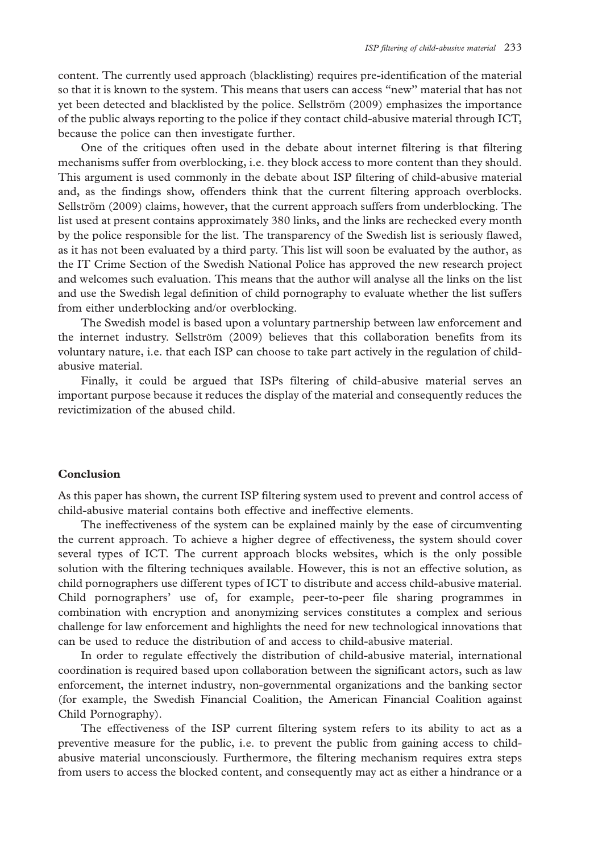content. The currently used approach (blacklisting) requires pre-identification of the material so that it is known to the system. This means that users can access ''new'' material that has not yet been detected and blacklisted by the police. Sellström (2009) emphasizes the importance of the public always reporting to the police if they contact child-abusive material through ICT, because the police can then investigate further.

One of the critiques often used in the debate about internet filtering is that filtering mechanisms suffer from overblocking, i.e. they block access to more content than they should. This argument is used commonly in the debate about ISP filtering of child-abusive material and, as the findings show, offenders think that the current filtering approach overblocks. Sellström (2009) claims, however, that the current approach suffers from underblocking. The list used at present contains approximately 380 links, and the links are rechecked every month by the police responsible for the list. The transparency of the Swedish list is seriously flawed, as it has not been evaluated by a third party. This list will soon be evaluated by the author, as the IT Crime Section of the Swedish National Police has approved the new research project and welcomes such evaluation. This means that the author will analyse all the links on the list and use the Swedish legal definition of child pornography to evaluate whether the list suffers from either underblocking and/or overblocking.

The Swedish model is based upon a voluntary partnership between law enforcement and the internet industry. Sellström (2009) believes that this collaboration benefits from its voluntary nature, i.e. that each ISP can choose to take part actively in the regulation of childabusive material.

Finally, it could be argued that ISPs filtering of child-abusive material serves an important purpose because it reduces the display of the material and consequently reduces the revictimization of the abused child.

## Conclusion

As this paper has shown, the current ISP filtering system used to prevent and control access of child-abusive material contains both effective and ineffective elements.

The ineffectiveness of the system can be explained mainly by the ease of circumventing the current approach. To achieve a higher degree of effectiveness, the system should cover several types of ICT. The current approach blocks websites, which is the only possible solution with the filtering techniques available. However, this is not an effective solution, as child pornographers use different types of ICT to distribute and access child-abusive material. Child pornographers' use of, for example, peer-to-peer file sharing programmes in combination with encryption and anonymizing services constitutes a complex and serious challenge for law enforcement and highlights the need for new technological innovations that can be used to reduce the distribution of and access to child-abusive material.

In order to regulate effectively the distribution of child-abusive material, international coordination is required based upon collaboration between the significant actors, such as law enforcement, the internet industry, non-governmental organizations and the banking sector (for example, the Swedish Financial Coalition, the American Financial Coalition against Child Pornography).

The effectiveness of the ISP current filtering system refers to its ability to act as a preventive measure for the public, i.e. to prevent the public from gaining access to childabusive material unconsciously. Furthermore, the filtering mechanism requires extra steps from users to access the blocked content, and consequently may act as either a hindrance or a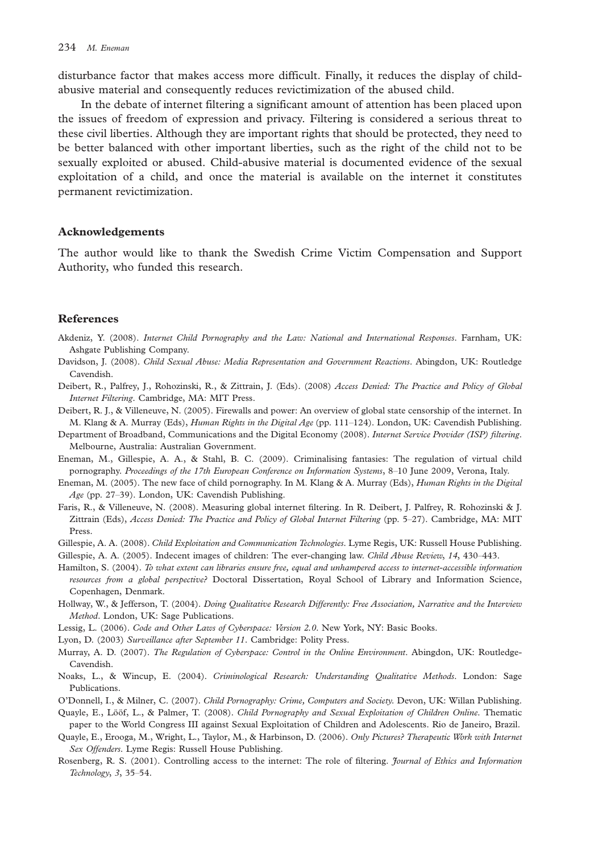disturbance factor that makes access more difficult. Finally, it reduces the display of childabusive material and consequently reduces revictimization of the abused child.

In the debate of internet filtering a significant amount of attention has been placed upon the issues of freedom of expression and privacy. Filtering is considered a serious threat to these civil liberties. Although they are important rights that should be protected, they need to be better balanced with other important liberties, such as the right of the child not to be sexually exploited or abused. Child-abusive material is documented evidence of the sexual exploitation of a child, and once the material is available on the internet it constitutes permanent revictimization.

#### Acknowledgements

The author would like to thank the Swedish Crime Victim Compensation and Support Authority, who funded this research.

#### References

- Akdeniz, Y. (2008). Internet Child Pornography and the Law: National and International Responses. Farnham, UK: Ashgate Publishing Company.
- Davidson, J. (2008). Child Sexual Abuse: Media Representation and Government Reactions. Abingdon, UK: Routledge Cavendish.
- Deibert, R., Palfrey, J., Rohozinski, R., & Zittrain, J. (Eds). (2008) Access Denied: The Practice and Policy of Global Internet Filtering. Cambridge, MA: MIT Press.
- Deibert, R. J., & Villeneuve, N. (2005). Firewalls and power: An overview of global state censorship of the internet. In M. Klang & A. Murray (Eds), Human Rights in the Digital Age (pp. 111-124). London, UK: Cavendish Publishing.
- Department of Broadband, Communications and the Digital Economy (2008). Internet Service Provider (ISP) filtering. Melbourne, Australia: Australian Government.
- Eneman, M., Gillespie, A. A., & Stahl, B. C. (2009). Criminalising fantasies: The regulation of virtual child pornography. Proceedings of the 17th European Conference on Information Systems, 8-10 June 2009, Verona, Italy.
- Eneman, M. (2005). The new face of child pornography. In M. Klang & A. Murray (Eds), Human Rights in the Digital Age (pp. 27-39). London, UK: Cavendish Publishing.
- Faris, R., & Villeneuve, N. (2008). Measuring global internet filtering. In R. Deibert, J. Palfrey, R. Rohozinski & J. Zittrain (Eds), Access Denied: The Practice and Policy of Global Internet Filtering (pp. 5-27). Cambridge, MA: MIT Press.
- Gillespie, A. A. (2008). Child Exploitation and Communication Technologies. Lyme Regis, UK: Russell House Publishing.
- Gillespie, A. A. (2005). Indecent images of children: The ever-changing law. Child Abuse Review, 14, 430-443.
- Hamilton, S. (2004). To what extent can libraries ensure free, equal and unhampered access to internet-accessible information resources from a global perspective? Doctoral Dissertation, Royal School of Library and Information Science, Copenhagen, Denmark.
- Hollway, W., & Jefferson, T. (2004). Doing Qualitative Research Differently: Free Association, Narrative and the Interview Method. London, UK: Sage Publications.
- Lessig, L. (2006). Code and Other Laws of Cyberspace: Version 2.0. New York, NY: Basic Books.

Lyon, D. (2003) Surveillance after September 11. Cambridge: Polity Press.

- Murray, A. D. (2007). The Regulation of Cyberspace: Control in the Online Environment. Abingdon, UK: Routledge-Cavendish.
- Noaks, L., & Wincup, E. (2004). Criminological Research: Understanding Qualitative Methods. London: Sage Publications.
- O'Donnell, I., & Milner, C. (2007). Child Pornography: Crime, Computers and Society. Devon, UK: Willan Publishing.
- Quayle, E., Lööf, L., & Palmer, T. (2008). Child Pornography and Sexual Exploitation of Children Online. Thematic paper to the World Congress III against Sexual Exploitation of Children and Adolescents. Rio de Janeiro, Brazil.
- Quayle, E., Erooga, M., Wright, L., Taylor, M., & Harbinson, D. (2006). Only Pictures? Therapeutic Work with Internet Sex Offenders. Lyme Regis: Russell House Publishing.
- Rosenberg, R. S. (2001). Controlling access to the internet: The role of filtering. Journal of Ethics and Information Technology, 3, 35-54.